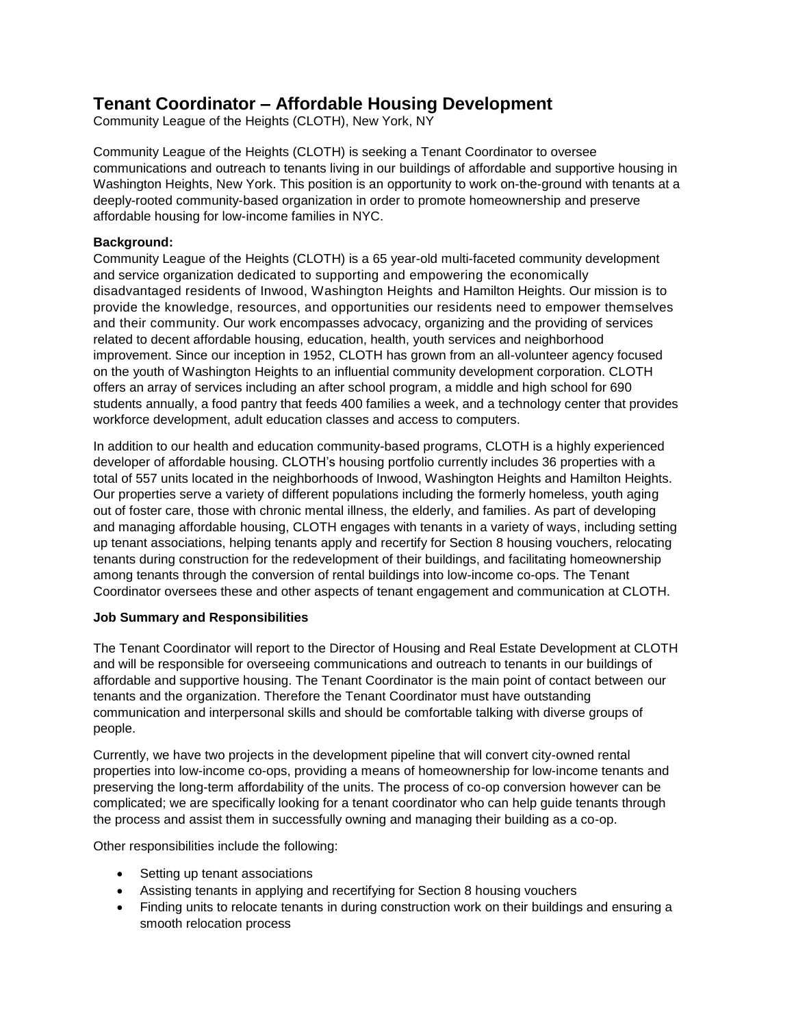# **Tenant Coordinator – Affordable Housing Development**

Community League of the Heights (CLOTH), New York, NY

Community League of the Heights (CLOTH) is seeking a Tenant Coordinator to oversee communications and outreach to tenants living in our buildings of affordable and supportive housing in Washington Heights, New York. This position is an opportunity to work on-the-ground with tenants at a deeply-rooted community-based organization in order to promote homeownership and preserve affordable housing for low-income families in NYC.

#### **Background:**

Community League of the Heights (CLOTH) is a 65 year-old multi-faceted community development and service organization dedicated to supporting and empowering the economically disadvantaged residents of Inwood, Washington Heights and Hamilton Heights. Our mission is to provide the knowledge, resources, and opportunities our residents need to empower themselves and their community. Our work encompasses advocacy, organizing and the providing of services related to decent affordable housing, education, health, youth services and neighborhood improvement. Since our inception in 1952, CLOTH has grown from an all-volunteer agency focused on the youth of Washington Heights to an influential community development corporation. CLOTH offers an array of services including an after school program, a middle and high school for 690 students annually, a food pantry that feeds 400 families a week, and a technology center that provides workforce development, adult education classes and access to computers.

In addition to our health and education community-based programs, CLOTH is a highly experienced developer of affordable housing. CLOTH's housing portfolio currently includes 36 properties with a total of 557 units located in the neighborhoods of Inwood, Washington Heights and Hamilton Heights. Our properties serve a variety of different populations including the formerly homeless, youth aging out of foster care, those with chronic mental illness, the elderly, and families. As part of developing and managing affordable housing, CLOTH engages with tenants in a variety of ways, including setting up tenant associations, helping tenants apply and recertify for Section 8 housing vouchers, relocating tenants during construction for the redevelopment of their buildings, and facilitating homeownership among tenants through the conversion of rental buildings into low-income co-ops. The Tenant Coordinator oversees these and other aspects of tenant engagement and communication at CLOTH.

## **Job Summary and Responsibilities**

The Tenant Coordinator will report to the Director of Housing and Real Estate Development at CLOTH and will be responsible for overseeing communications and outreach to tenants in our buildings of affordable and supportive housing. The Tenant Coordinator is the main point of contact between our tenants and the organization. Therefore the Tenant Coordinator must have outstanding communication and interpersonal skills and should be comfortable talking with diverse groups of people.

Currently, we have two projects in the development pipeline that will convert city-owned rental properties into low-income co-ops, providing a means of homeownership for low-income tenants and preserving the long-term affordability of the units. The process of co-op conversion however can be complicated; we are specifically looking for a tenant coordinator who can help guide tenants through the process and assist them in successfully owning and managing their building as a co-op.

Other responsibilities include the following:

- Setting up tenant associations
- Assisting tenants in applying and recertifying for Section 8 housing vouchers
- Finding units to relocate tenants in during construction work on their buildings and ensuring a smooth relocation process